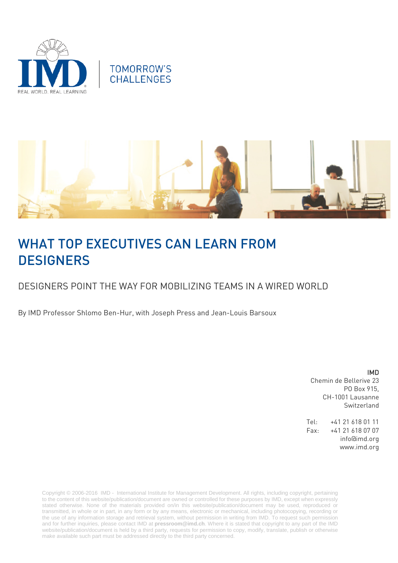



# WHAT TOP EXECUTIVES CAN LEARN FROM **DESIGNERS**

## DESIGNERS POINT THE WAY FOR MOBILIZING TEAMS IN A WIRED WORLD

By IMD Professor Shlomo Ben-Hur, with Joseph Press and Jean-Louis Barsoux

IMD Chemin de Bellerive 23 PO Box 915, CH-1001 Lausanne Switzerland

Tel: +41 21 618 01 11 Fax: +41 21 618 07 07 info@imd.org www.imd.org

Copyright © 2006-2016 IMD - International Institute for Management Development. All rights, including copyright, pertaining to the content of this website/publication/document are owned or controlled for these purposes by IMD, except when expressly stated otherwise. None of the materials provided on/in this website/publication/document may be used, reproduced or transmitted, in whole or in part, in any form or by any means, electronic or mechanical, including photocopying, recording or the use of any information storage and retrieval system, without permission in writing from IMD. To request such permission and for further inquiries, please contact IMD at **[pressroom@imd.ch](mailto:pressroom@imd.ch)**. Where it is stated that copyright to any part of the IMD website/publication/document is held by a third party, requests for permission to copy, modify, translate, publish or otherwise make available such part must be addressed directly to the third party concerned.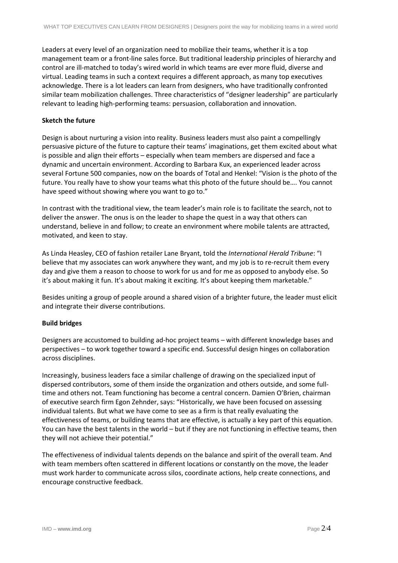Leaders at every level of an organization need to mobilize their teams, whether it is a top management team or a front-line sales force. But traditional leadership principles of hierarchy and control are ill-matched to today's wired world in which teams are ever more fluid, diverse and virtual. Leading teams in such a context requires a different approach, as many top executives acknowledge. There is a lot leaders can learn from designers, who have traditionally confronted similar team mobilization challenges. Three characteristics of "designer leadership" are particularly relevant to leading high-performing teams: persuasion, collaboration and innovation.

#### **Sketch the future**

Design is about nurturing a vision into reality. Business leaders must also paint a compellingly persuasive picture of the future to capture their teams' imaginations, get them excited about what is possible and align their efforts – especially when team members are dispersed and face a dynamic and uncertain environment. According to Barbara Kux, an experienced leader across several Fortune 500 companies, now on the boards of Total and Henkel: "Vision is the photo of the future. You really have to show your teams what this photo of the future should be…. You cannot have speed without showing where you want to go to."

In contrast with the traditional view, the team leader's main role is to facilitate the search, not to deliver the answer. The onus is on the leader to shape the quest in a way that others can understand, believe in and follow; to create an environment where mobile talents are attracted, motivated, and keen to stay.

As Linda Heasley, CEO of fashion retailer Lane Bryant, told the *International Herald Tribune*: "I believe that my associates can work anywhere they want, and my job is to re-recruit them every day and give them a reason to choose to work for us and for me as opposed to anybody else. So it's about making it fun. It's about making it exciting. It's about keeping them marketable."

Besides uniting a group of people around a shared vision of a brighter future, the leader must elicit and integrate their diverse contributions.

#### **Build bridges**

Designers are accustomed to building ad-hoc project teams – with different knowledge bases and perspectives – to work together toward a specific end. Successful design hinges on collaboration across disciplines.

Increasingly, business leaders face a similar challenge of drawing on the specialized input of dispersed contributors, some of them inside the organization and others outside, and some fulltime and others not. Team functioning has become a central concern. Damien O'Brien, chairman of executive search firm Egon Zehnder, says: "Historically, we have been focused on assessing individual talents. But what we have come to see as a firm is that really evaluating the effectiveness of teams, or building teams that are effective, is actually a key part of this equation. You can have the best talents in the world – but if they are not functioning in effective teams, then they will not achieve their potential."

The effectiveness of individual talents depends on the balance and spirit of the overall team. And with team members often scattered in different locations or constantly on the move, the leader must work harder to communicate across silos, coordinate actions, help create connections, and encourage constructive feedback.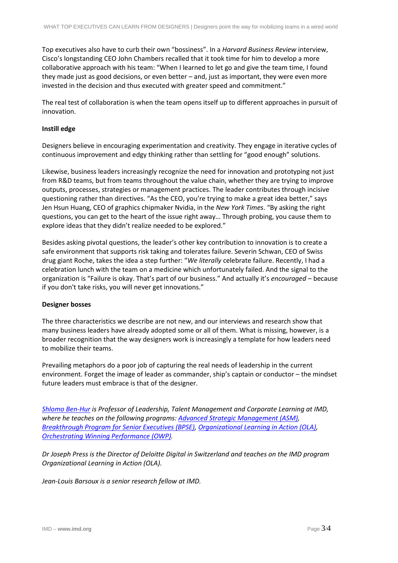Top executives also have to curb their own "bossiness". In a *Harvard Business Review* interview, Cisco's longstanding CEO John Chambers recalled that it took time for him to develop a more collaborative approach with his team: "When I learned to let go and give the team time, I found they made just as good decisions, or even better – and, just as important, they were even more invested in the decision and thus executed with greater speed and commitment."

The real test of collaboration is when the team opens itself up to different approaches in pursuit of innovation.

#### **Instill edge**

Designers believe in encouraging experimentation and creativity. They engage in iterative cycles of continuous improvement and edgy thinking rather than settling for "good enough" solutions.

Likewise, business leaders increasingly recognize the need for innovation and prototyping not just from R&D teams, but from teams throughout the value chain, whether they are trying to improve outputs, processes, strategies or management practices. The leader contributes through incisive questioning rather than directives. "As the CEO, you're trying to make a great idea better," says Jen Hsun Huang, CEO of graphics chipmaker Nvidia, in the *New York Times*. "By asking the right questions, you can get to the heart of the issue right away… Through probing, you cause them to explore ideas that they didn't realize needed to be explored."

Besides asking pivotal questions, the leader's other key contribution to innovation is to create a safe environment that supports risk taking and tolerates failure. Severin Schwan, CEO of Swiss drug giant Roche, takes the idea a step further: "*We literally* celebrate failure. Recently, I had a celebration lunch with the team on a medicine which unfortunately failed. And the signal to the organization is "Failure is okay. That's part of our business." And actually it's *encouraged –* because if you don't take risks, you will never get innovations."

#### **Designer bosses**

The three characteristics we describe are not new, and our interviews and research show that many business leaders have already adopted some or all of them. What is missing, however, is a broader recognition that the way designers work is increasingly a template for how leaders need to mobilize their teams.

Prevailing metaphors do a poor job of capturing the real needs of leadership in the current environment. Forget the image of leader as commander, ship's captain or conductor – the mindset future leaders must embrace is that of the designer.

*[Shlomo Ben-Hur](http://www.imd.org/about/facultystaff/ben-hur.cfm) is Professor of Leadership, Talent Management and Corporate Learning at IMD, where he teaches on the following programs: [Advanced Strategic Management \(ASM\),](http://www.imd.org/executive-education/asm/strategic-management/description-dates-fees/) [Breakthrough Program for Senior Executives \(BPSE\),](http://www.imd.org/executive-education/bpse/senior-executive-program/description-dates-fees/) [Organizational Learning in Action \(OLA\),](http://www.imd.org/executive-education/ola/organizational-learning/description-dates-fees/) [Orchestrating Winning Performance \(OWP\).](http://www.imd.org/OWP)* 

*Dr Joseph Press is the Director of Deloitte Digital in Switzerland and teaches on the IMD program Organizational Learning in Action (OLA).*

*Jean-Louis Barsoux is a senior research fellow at IMD.*